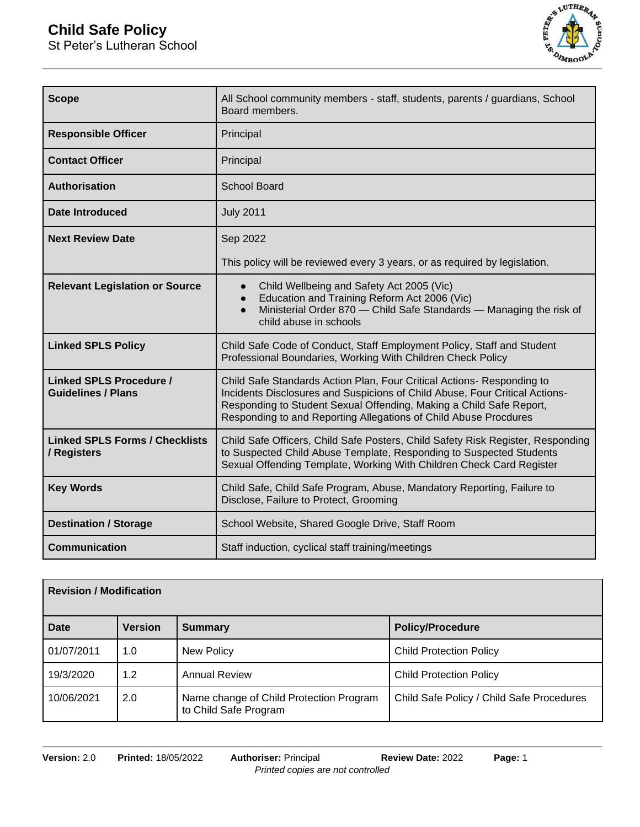# **Child Safe Policy**

St Peter's Lutheran School



| <b>Scope</b>                                                | All School community members - staff, students, parents / guardians, School<br>Board members.                                                                                                                                                                                                    |  |
|-------------------------------------------------------------|--------------------------------------------------------------------------------------------------------------------------------------------------------------------------------------------------------------------------------------------------------------------------------------------------|--|
| <b>Responsible Officer</b>                                  | Principal                                                                                                                                                                                                                                                                                        |  |
| <b>Contact Officer</b>                                      | Principal                                                                                                                                                                                                                                                                                        |  |
| Authorisation                                               | <b>School Board</b>                                                                                                                                                                                                                                                                              |  |
| Date Introduced                                             | <b>July 2011</b>                                                                                                                                                                                                                                                                                 |  |
| <b>Next Review Date</b>                                     | Sep 2022                                                                                                                                                                                                                                                                                         |  |
|                                                             | This policy will be reviewed every 3 years, or as required by legislation.                                                                                                                                                                                                                       |  |
| <b>Relevant Legislation or Source</b>                       | Child Wellbeing and Safety Act 2005 (Vic)<br>Education and Training Reform Act 2006 (Vic)<br>$\bullet$<br>Ministerial Order 870 - Child Safe Standards - Managing the risk of<br>$\bullet$<br>child abuse in schools                                                                             |  |
| <b>Linked SPLS Policy</b>                                   | Child Safe Code of Conduct, Staff Employment Policy, Staff and Student<br>Professional Boundaries, Working With Children Check Policy                                                                                                                                                            |  |
| <b>Linked SPLS Procedure /</b><br><b>Guidelines / Plans</b> | Child Safe Standards Action Plan, Four Critical Actions- Responding to<br>Incidents Disclosures and Suspicions of Child Abuse, Four Critical Actions-<br>Responding to Student Sexual Offending, Making a Child Safe Report,<br>Responding to and Reporting Allegations of Child Abuse Procdures |  |
| <b>Linked SPLS Forms / Checklists</b><br>/ Registers        | Child Safe Officers, Child Safe Posters, Child Safety Risk Register, Responding<br>to Suspected Child Abuse Template, Responding to Suspected Students<br>Sexual Offending Template, Working With Children Check Card Register                                                                   |  |
| <b>Key Words</b>                                            | Child Safe, Child Safe Program, Abuse, Mandatory Reporting, Failure to<br>Disclose, Failure to Protect, Grooming                                                                                                                                                                                 |  |
| <b>Destination / Storage</b>                                | School Website, Shared Google Drive, Staff Room                                                                                                                                                                                                                                                  |  |
| <b>Communication</b>                                        | Staff induction, cyclical staff training/meetings                                                                                                                                                                                                                                                |  |

| <b>Revision / Modification</b> |                |                                                                  |                                           |
|--------------------------------|----------------|------------------------------------------------------------------|-------------------------------------------|
| <b>Date</b>                    | <b>Version</b> | <b>Summary</b>                                                   | <b>Policy/Procedure</b>                   |
| 01/07/2011                     | 1.0            | New Policy                                                       | <b>Child Protection Policy</b>            |
| 19/3/2020                      | 1.2            | <b>Annual Review</b>                                             | <b>Child Protection Policy</b>            |
| 10/06/2021                     | 2.0            | Name change of Child Protection Program<br>to Child Safe Program | Child Safe Policy / Child Safe Procedures |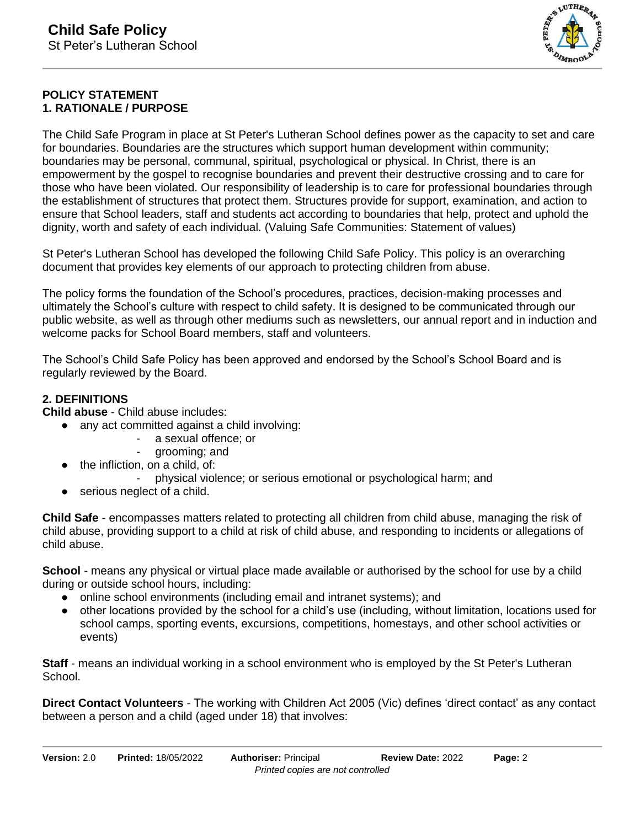

## **POLICY STATEMENT 1. RATIONALE / PURPOSE**

The Child Safe Program in place at St Peter's Lutheran School defines power as the capacity to set and care for boundaries. Boundaries are the structures which support human development within community; boundaries may be personal, communal, spiritual, psychological or physical. In Christ, there is an empowerment by the gospel to recognise boundaries and prevent their destructive crossing and to care for those who have been violated. Our responsibility of leadership is to care for professional boundaries through the establishment of structures that protect them. Structures provide for support, examination, and action to ensure that School leaders, staff and students act according to boundaries that help, protect and uphold the dignity, worth and safety of each individual. (Valuing Safe Communities: Statement of values)

St Peter's Lutheran School has developed the following Child Safe Policy. This policy is an overarching document that provides key elements of our approach to protecting children from abuse.

The policy forms the foundation of the School's procedures, practices, decision-making processes and ultimately the School's culture with respect to child safety. It is designed to be communicated through our public website, as well as through other mediums such as newsletters, our annual report and in induction and welcome packs for School Board members, staff and volunteers.

The School's Child Safe Policy has been approved and endorsed by the School's School Board and is regularly reviewed by the Board.

# **2. DEFINITIONS**

**Child abuse** - Child abuse includes:

- any act committed against a child involving:
	- a sexual offence; or
	- grooming; and
	- the infliction, on a child, of:
		- physical violence; or serious emotional or psychological harm; and
	- serious neglect of a child.

**Child Safe** - encompasses matters related to protecting all children from child abuse, managing the risk of child abuse, providing support to a child at risk of child abuse, and responding to incidents or allegations of child abuse.

**School** - means any physical or virtual place made available or authorised by the school for use by a child during or outside school hours, including:

- online school environments (including email and intranet systems); and
- other locations provided by the school for a child's use (including, without limitation, locations used for school camps, sporting events, excursions, competitions, homestays, and other school activities or events)

**Staff** - means an individual working in a school environment who is employed by the St Peter's Lutheran School.

**Direct Contact Volunteers** - The working with Children Act 2005 (Vic) defines 'direct contact' as any contact between a person and a child (aged under 18) that involves: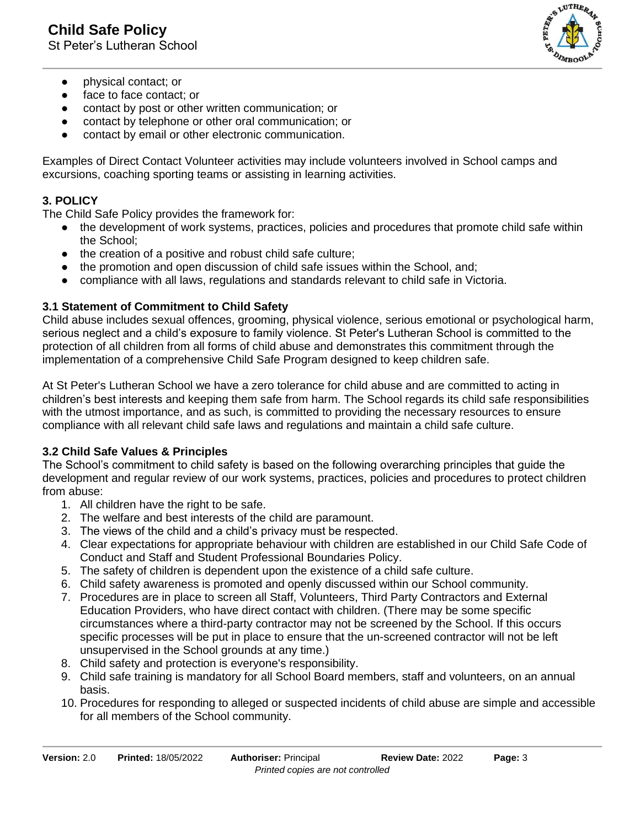**Child Safe Policy**

St Peter's Lutheran School



- physical contact; or
- face to face contact; or
- contact by post or other written communication; or
- contact by telephone or other oral communication; or
- contact by email or other electronic communication.

Examples of Direct Contact Volunteer activities may include volunteers involved in School camps and excursions, coaching sporting teams or assisting in learning activities.

## **3. POLICY**

The Child Safe Policy provides the framework for:

- the development of work systems, practices, policies and procedures that promote child safe within the School;
- the creation of a positive and robust child safe culture;
- the promotion and open discussion of child safe issues within the School, and;
- compliance with all laws, regulations and standards relevant to child safe in Victoria.

## **3.1 Statement of Commitment to Child Safety**

Child abuse includes sexual offences, grooming, physical violence, serious emotional or psychological harm, serious neglect and a child's exposure to family violence. St Peter's Lutheran School is committed to the protection of all children from all forms of child abuse and demonstrates this commitment through the implementation of a comprehensive Child Safe Program designed to keep children safe.

At St Peter's Lutheran School we have a zero tolerance for child abuse and are committed to acting in children's best interests and keeping them safe from harm. The School regards its child safe responsibilities with the utmost importance, and as such, is committed to providing the necessary resources to ensure compliance with all relevant child safe laws and regulations and maintain a child safe culture.

## **3.2 Child Safe Values & Principles**

The School's commitment to child safety is based on the following overarching principles that guide the development and regular review of our work systems, practices, policies and procedures to protect children from abuse:

- 1. All children have the right to be safe.
- 2. The welfare and best interests of the child are paramount.
- 3. The views of the child and a child's privacy must be respected.
- 4. Clear expectations for appropriate behaviour with children are established in our Child Safe Code of Conduct and Staff and Student Professional Boundaries Policy.
- 5. The safety of children is dependent upon the existence of a child safe culture.
- 6. Child safety awareness is promoted and openly discussed within our School community.
- 7. Procedures are in place to screen all Staff, Volunteers, Third Party Contractors and External Education Providers, who have direct contact with children. (There may be some specific circumstances where a third-party contractor may not be screened by the School. If this occurs specific processes will be put in place to ensure that the un-screened contractor will not be left unsupervised in the School grounds at any time.)
- 8. Child safety and protection is everyone's responsibility.
- 9. Child safe training is mandatory for all School Board members, staff and volunteers, on an annual basis.
- 10. Procedures for responding to alleged or suspected incidents of child abuse are simple and accessible for all members of the School community.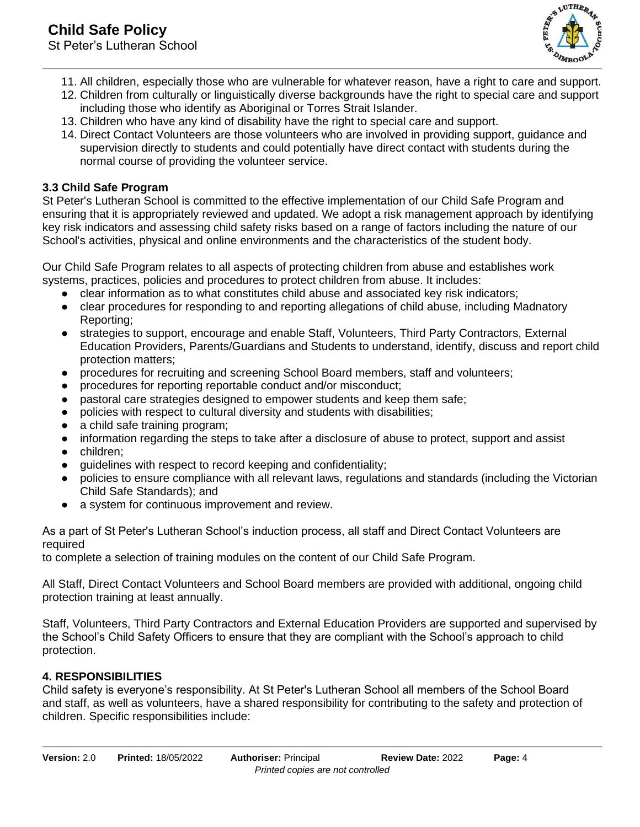

- 11. All children, especially those who are vulnerable for whatever reason, have a right to care and support.
- 12. Children from culturally or linguistically diverse backgrounds have the right to special care and support including those who identify as Aboriginal or Torres Strait Islander.
- 13. Children who have any kind of disability have the right to special care and support.
- 14. Direct Contact Volunteers are those volunteers who are involved in providing support, guidance and supervision directly to students and could potentially have direct contact with students during the normal course of providing the volunteer service.

# **3.3 Child Safe Program**

St Peter's Lutheran School is committed to the effective implementation of our Child Safe Program and ensuring that it is appropriately reviewed and updated. We adopt a risk management approach by identifying key risk indicators and assessing child safety risks based on a range of factors including the nature of our School's activities, physical and online environments and the characteristics of the student body.

Our Child Safe Program relates to all aspects of protecting children from abuse and establishes work systems, practices, policies and procedures to protect children from abuse. It includes:

- clear information as to what constitutes child abuse and associated key risk indicators;
- clear procedures for responding to and reporting allegations of child abuse, including Madnatory Reporting;
- strategies to support, encourage and enable Staff, Volunteers, Third Party Contractors, External Education Providers, Parents/Guardians and Students to understand, identify, discuss and report child protection matters;
- procedures for recruiting and screening School Board members, staff and volunteers;
- procedures for reporting reportable conduct and/or misconduct;
- pastoral care strategies designed to empower students and keep them safe;
- policies with respect to cultural diversity and students with disabilities;
- a child safe training program;
- information regarding the steps to take after a disclosure of abuse to protect, support and assist
- children:
- guidelines with respect to record keeping and confidentiality;
- policies to ensure compliance with all relevant laws, regulations and standards (including the Victorian Child Safe Standards); and
- a system for continuous improvement and review.

As a part of St Peter's Lutheran School's induction process, all staff and Direct Contact Volunteers are required

to complete a selection of training modules on the content of our Child Safe Program.

All Staff, Direct Contact Volunteers and School Board members are provided with additional, ongoing child protection training at least annually.

Staff, Volunteers, Third Party Contractors and External Education Providers are supported and supervised by the School's Child Safety Officers to ensure that they are compliant with the School's approach to child protection.

## **4. RESPONSIBILITIES**

Child safety is everyone's responsibility. At St Peter's Lutheran School all members of the School Board and staff, as well as volunteers, have a shared responsibility for contributing to the safety and protection of children. Specific responsibilities include: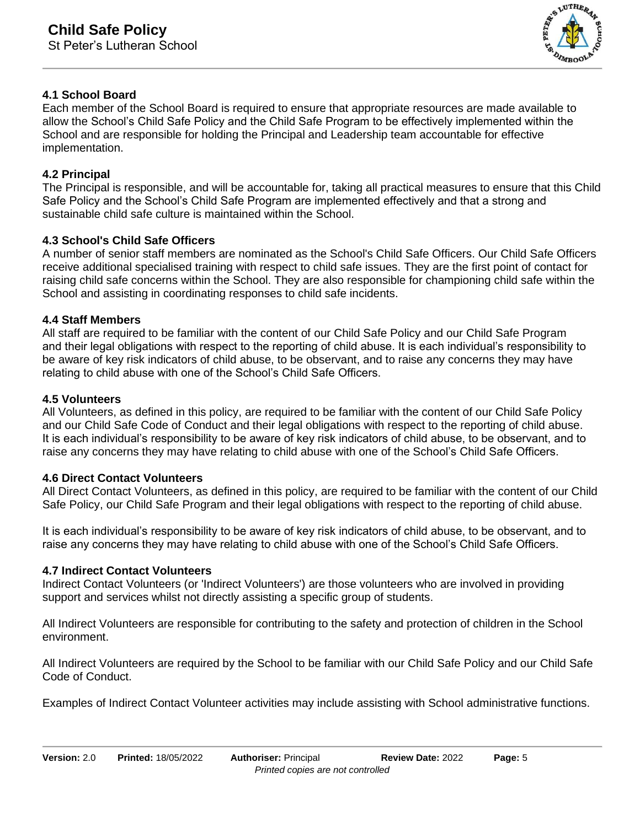

## **4.1 School Board**

Each member of the School Board is required to ensure that appropriate resources are made available to allow the School's Child Safe Policy and the Child Safe Program to be effectively implemented within the School and are responsible for holding the Principal and Leadership team accountable for effective implementation.

#### **4.2 Principal**

The Principal is responsible, and will be accountable for, taking all practical measures to ensure that this Child Safe Policy and the School's Child Safe Program are implemented effectively and that a strong and sustainable child safe culture is maintained within the School.

## **4.3 School's Child Safe Officers**

A number of senior staff members are nominated as the School's Child Safe Officers. Our Child Safe Officers receive additional specialised training with respect to child safe issues. They are the first point of contact for raising child safe concerns within the School. They are also responsible for championing child safe within the School and assisting in coordinating responses to child safe incidents.

#### **4.4 Staff Members**

All staff are required to be familiar with the content of our Child Safe Policy and our Child Safe Program and their legal obligations with respect to the reporting of child abuse. It is each individual's responsibility to be aware of key risk indicators of child abuse, to be observant, and to raise any concerns they may have relating to child abuse with one of the School's Child Safe Officers.

#### **4.5 Volunteers**

All Volunteers, as defined in this policy, are required to be familiar with the content of our Child Safe Policy and our Child Safe Code of Conduct and their legal obligations with respect to the reporting of child abuse. It is each individual's responsibility to be aware of key risk indicators of child abuse, to be observant, and to raise any concerns they may have relating to child abuse with one of the School's Child Safe Officers.

#### **4.6 Direct Contact Volunteers**

All Direct Contact Volunteers, as defined in this policy, are required to be familiar with the content of our Child Safe Policy, our Child Safe Program and their legal obligations with respect to the reporting of child abuse.

It is each individual's responsibility to be aware of key risk indicators of child abuse, to be observant, and to raise any concerns they may have relating to child abuse with one of the School's Child Safe Officers.

#### **4.7 Indirect Contact Volunteers**

Indirect Contact Volunteers (or 'Indirect Volunteers') are those volunteers who are involved in providing support and services whilst not directly assisting a specific group of students.

All Indirect Volunteers are responsible for contributing to the safety and protection of children in the School environment.

All Indirect Volunteers are required by the School to be familiar with our Child Safe Policy and our Child Safe Code of Conduct.

Examples of Indirect Contact Volunteer activities may include assisting with School administrative functions.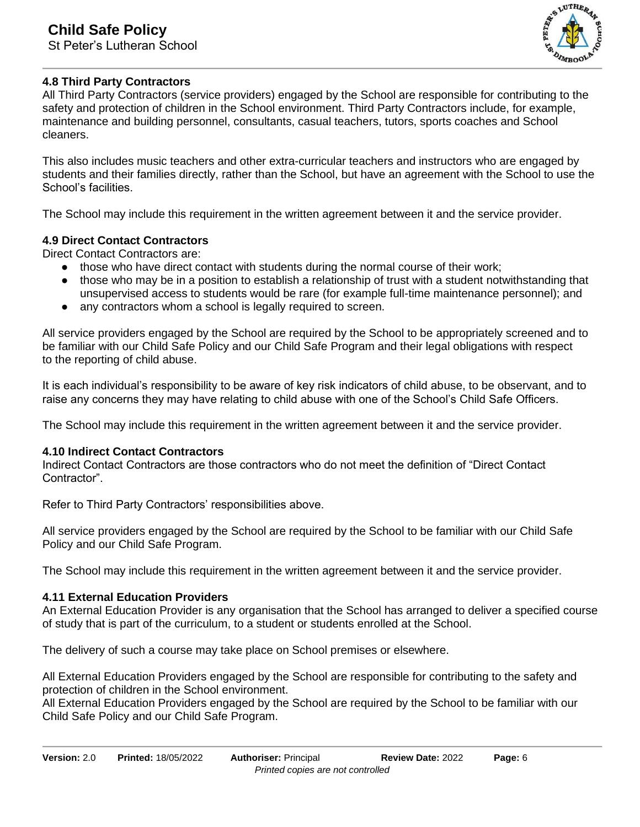

# **4.8 Third Party Contractors**

All Third Party Contractors (service providers) engaged by the School are responsible for contributing to the safety and protection of children in the School environment. Third Party Contractors include, for example, maintenance and building personnel, consultants, casual teachers, tutors, sports coaches and School cleaners.

This also includes music teachers and other extra-curricular teachers and instructors who are engaged by students and their families directly, rather than the School, but have an agreement with the School to use the School's facilities.

The School may include this requirement in the written agreement between it and the service provider.

## **4.9 Direct Contact Contractors**

Direct Contact Contractors are:

- those who have direct contact with students during the normal course of their work;
- those who may be in a position to establish a relationship of trust with a student notwithstanding that unsupervised access to students would be rare (for example full-time maintenance personnel); and
- any contractors whom a school is legally required to screen.

All service providers engaged by the School are required by the School to be appropriately screened and to be familiar with our Child Safe Policy and our Child Safe Program and their legal obligations with respect to the reporting of child abuse.

It is each individual's responsibility to be aware of key risk indicators of child abuse, to be observant, and to raise any concerns they may have relating to child abuse with one of the School's Child Safe Officers.

The School may include this requirement in the written agreement between it and the service provider.

#### **4.10 Indirect Contact Contractors**

Indirect Contact Contractors are those contractors who do not meet the definition of "Direct Contact Contractor".

Refer to Third Party Contractors' responsibilities above.

All service providers engaged by the School are required by the School to be familiar with our Child Safe Policy and our Child Safe Program.

The School may include this requirement in the written agreement between it and the service provider.

#### **4.11 External Education Providers**

An External Education Provider is any organisation that the School has arranged to deliver a specified course of study that is part of the curriculum, to a student or students enrolled at the School.

The delivery of such a course may take place on School premises or elsewhere.

All External Education Providers engaged by the School are responsible for contributing to the safety and protection of children in the School environment.

All External Education Providers engaged by the School are required by the School to be familiar with our Child Safe Policy and our Child Safe Program.